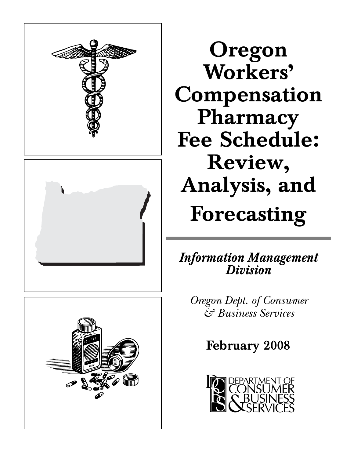





**Oregon Workers' Compensation Pharmacy Fee Schedule: Review, Analysis, and Forecasting**

*Information Management Division*

*Oregon Dept. of Consumer & Business Services*

**February 2008**

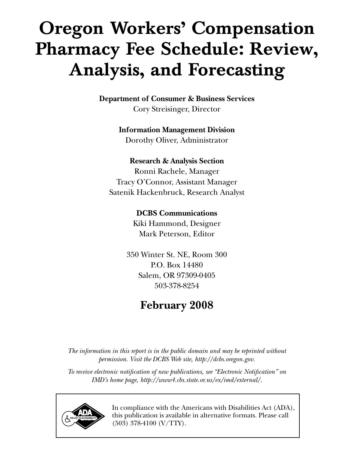# **Oregon Workers' Compensation Pharmacy Fee Schedule: Review, Analysis, and Forecasting**

**Department of Consumer & Business Services** Cory Streisinger, Director

## **Information Management Division**

Dorothy Oliver, Administrator

## **Research & Analysis Section**

Ronni Rachele, Manager Tracy O'Connor, Assistant Manager Satenik Hackenbruck, Research Analyst

## **DCBS Communications**

Kiki Hammond, Designer Mark Peterson, Editor

350 Winter St. NE, Room 300 P.O. Box 14480 Salem, OR 97309-0405 503-378-8254

# **February 2008**

*The information in this report is in the public domain and may be reprinted without permission. Visit the DCBS Web site, http://dcbs.oregon.gov.*

*To receive electronic notification of new publications, see "Electronic Notification" on IMD's home page, http://www4.cbs.state.or.us/ex/imd/external/.*



In compliance with the Americans with Disabilities Act (ADA), this publication is available in alternative formats. Please call (503) 378-4100 (V/TTY).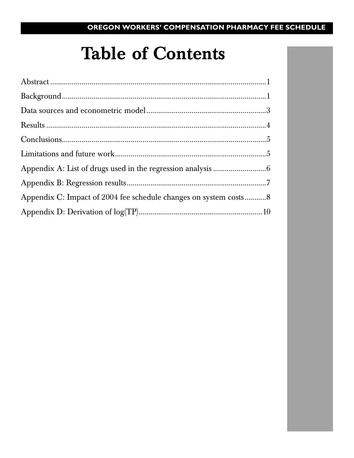# **Table of Contents**

| Appendix C: Impact of 2004 fee schedule changes on system costs8 |  |
|------------------------------------------------------------------|--|
|                                                                  |  |
|                                                                  |  |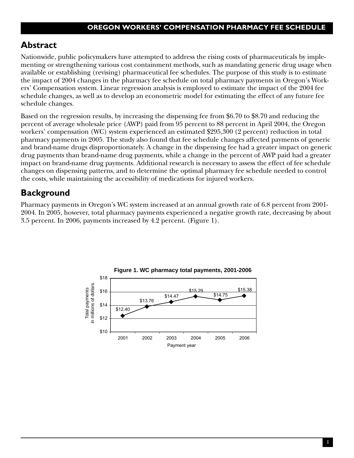## **Abstract**

Nationwide, public policymakers have attempted to address the rising costs of pharmaceuticals by implementing or strengthening various cost containment methods, such as mandating generic drug usage when available or establishing (revising) pharmaceutical fee schedules. The purpose of this study is to estimate the impact of 2004 changes in the pharmacy fee schedule on total pharmacy payments in Oregon's Workers' Compensation system. Linear regression analysis is employed to estimate the impact of the 2004 fee schedule changes, as well as to develop an econometric model for estimating the effect of any future fee schedule changes.

Based on the regression results, by increasing the dispensing fee from \$6.70 to \$8.70 and reducing the percent of average wholesale price (AWP) paid from 95 percent to 88 percent in April 2004, the Oregon workers' compensation (WC) system experienced an estimated \$295,300 (2 percent) reduction in total pharmacy payments in 2005. The study also found that fee schedule changes affected payments of generic and brand-name drugs disproportionately. A change in the dispensing fee had a greater impact on generic drug payments than brand-name drug payments, while a change in the percent of AWP paid had a greater impact on brand-name drug payments. Additional research is necessary to assess the effect of fee schedule changes on dispensing patterns, and to determine the optimal pharmacy fee schedule needed to control the costs, while maintaining the accessibility of medications for injured workers.

## **Background**

Pharmacy payments in Oregon's WC system increased at an annual growth rate of 6.8 percent from 2001- 2004. In 2005, however, total pharmacy payments experienced a negative growth rate, decreasing by about 3.5 percent. In 2006, payments increased by 4.2 percent. (Figure 1).

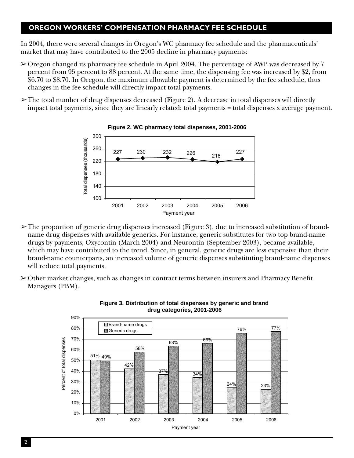In 2004, there were several changes in Oregon's WC pharmacy fee schedule and the pharmaceuticals' market that may have contributed to the 2005 decline in pharmacy payments:

- $\geq$ Oregon changed its pharmacy fee schedule in April 2004. The percentage of AWP was decreased by 7 percent from 95 percent to 88 percent. At the same time, the dispensing fee was increased by \$2, from \$6.70 to \$8.70. In Oregon, the maximum allowable payment is determined by the fee schedule, thus changes in the fee schedule will directly impact total payments.
- $\triangleright$  The total number of drug dispenses decreased (Figure 2). A decrease in total dispenses will directly impact total payments, since they are linearly related: total payments = total dispenses x average payment.





- $\geq$  The proportion of generic drug dispenses increased (Figure 3), due to increased substitution of brandname drug dispenses with available generics. For instance, generic substitutes for two top brand-name drugs by payments, Oxycontin (March 2004) and Neurontin (September 2003), became available, which may have contributed to the trend. Since, in general, generic drugs are less expensive than their brand-name counterparts, an increased volume of generic dispenses substituting brand-name dispenses will reduce total payments.
- $\geq$ Other market changes, such as changes in contract terms between insurers and Pharmacy Benefit Managers (PBM).



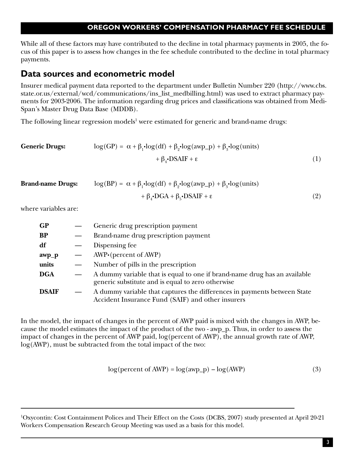While all of these factors may have contributed to the decline in total pharmacy payments in 2005, the focus of this paper is to assess how changes in the fee schedule contributed to the decline in total pharmacy payments.

## **Data sources and econometric model**

Insurer medical payment data reported to the department under Bulletin Number 220 (http://www.cbs. state.or.us/external/wcd/communications/ins\_list\_medbilling.html) was used to extract pharmacy payments for 2003-2006. The information regarding drug prices and classifications was obtained from Medi-Span's Master Drug Data Base (MDDB).

The following linear regression models $^1$  were estimated for generic and brand-name drugs:

| <b>Generic Drugs:</b> | $\log(GP) = \alpha + \beta_1 \cdot \log(df) + \beta_2 \cdot \log(\text{awp\_p}) + \beta_3 \cdot \log(\text{units})$ |  |  |
|-----------------------|---------------------------------------------------------------------------------------------------------------------|--|--|
|                       | $+\beta$ -DSAIF + $\varepsilon$                                                                                     |  |  |

| <b>Brand-name Drugs:</b> | $\log(BP) = \alpha + \beta_1 \cdot \log(df) + \beta_2 \cdot \log(amp_p) + \beta_3 \cdot \log(units)$ |  |  |
|--------------------------|------------------------------------------------------------------------------------------------------|--|--|
|                          | $+\beta_{4} \cdot DGA + \beta_{5} \cdot DSAIF + \epsilon$                                            |  |  |

where variables are:

| GP           |                          | Generic drug prescription payment                                                                                              |
|--------------|--------------------------|--------------------------------------------------------------------------------------------------------------------------------|
| BP           |                          | Brand-name drug prescription payment                                                                                           |
| df           | $\overline{\phantom{m}}$ | Dispensing fee                                                                                                                 |
| awp_p        | $\qquad \qquad$          | $AWP \cdot (percent \text{ of } AWP)$                                                                                          |
| units        | $\overline{\phantom{m}}$ | Number of pills in the prescription                                                                                            |
| DGA          |                          | A dummy variable that is equal to one if brand-name drug has an available<br>generic substitute and is equal to zero otherwise |
| <b>DSAIF</b> |                          | A dummy variable that captures the differences in payments between State<br>Accident Insurance Fund (SAIF) and other insurers  |

In the model, the impact of changes in the percent of AWP paid is mixed with the changes in AWP, because the model estimates the impact of the product of the two - awp\_p. Thus, in order to assess the impact of changes in the percent of AWP paid, log(percent of AWP), the annual growth rate of AWP, log(AWP), must be subtracted from the total impact of the two:

$$
log(percent of AWP) = log(awp_p) - log(AWP)
$$
\n(3)

1 Oxycontin: Cost Containment Polices and Their Effect on the Costs (DCBS, 2007) study presented at April 20-21 Workers Compensation Research Group Meeting was used as a basis for this model.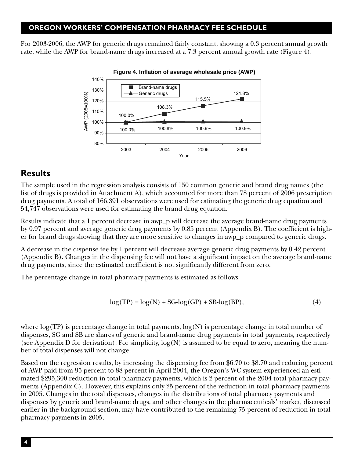For 2003-2006, the AWP for generic drugs remained fairly constant, showing a 0.3 percent annual growth rate, while the AWP for brand-name drugs increased at a 7.3 percent annual growth rate (Figure 4).



## **Results**

The sample used in the regression analysis consists of 150 common generic and brand drug names (the list of drugs is provided in Attachment A), which accounted for more than 78 percent of 2006 prescription drug payments. A total of 166,391 observations were used for estimating the generic drug equation and 54,747 observations were used for estimating the brand drug equation.

Results indicate that a 1 percent decrease in awp\_p will decrease the average brand-name drug payments by 0.97 percent and average generic drug payments by 0.85 percent (Appendix B). The coefficient is higher for brand drugs showing that they are more sensitive to changes in awp\_p compared to generic drugs.

A decrease in the dispense fee by 1 percent will decrease average generic drug payments by 0.42 percent (Appendix B). Changes in the dispensing fee will not have a significant impact on the average brand-name drug payments, since the estimated coefficient is not significantly different from zero.

The percentage change in total pharmacy payments is estimated as follows:

$$
log(TP) = log(N) + SG\text{-}log(GP) + SB\text{-}log(BP),\tag{4}
$$

where  $log(TP)$  is percentage change in total payments,  $log(N)$  is percentage change in total number of dispenses, SG and SB are shares of generic and brand-name drug payments in total payments, respectively (see Appendix D for derivation). For simplicity,  $log(N)$  is assumed to be equal to zero, meaning the number of total dispenses will not change.

Based on the regression results, by increasing the dispensing fee from \$6.70 to \$8.70 and reducing percent of AWP paid from 95 percent to 88 percent in April 2004, the Oregon's WC system experienced an estimated \$295,300 reduction in total pharmacy payments, which is 2 percent of the 2004 total pharmacy payments (Appendix C). However, this explains only 25 percent of the reduction in total pharmacy payments in 2005. Changes in the total dispenses, changes in the distributions of total pharmacy payments and dispenses by generic and brand-name drugs, and other changes in the pharmaceuticals' market, discussed earlier in the background section, may have contributed to the remaining 75 percent of reduction in total pharmacy payments in 2005.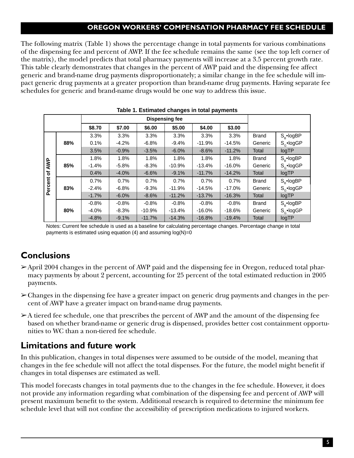The following matrix (Table 1) shows the percentage change in total payments for various combinations of the dispensing fee and percent of AWP. If the fee schedule remains the same (see the top left corner of the matrix), the model predicts that total pharmacy payments will increase at a 3.5 percent growth rate. This table clearly demonstrates that changes in the percent of AWP paid and the dispensing fee affect generic and brand-name drug payments disproportionately; a similar change in the fee schedule will impact generic drug payments at a greater proportion than brand-name drug payments. Having separate fee schedules for generic and brand-name drugs would be one way to address this issue.

| <b>Dispensing fee</b> |     |         |          |          |          |          |          |              |                     |
|-----------------------|-----|---------|----------|----------|----------|----------|----------|--------------|---------------------|
|                       |     | \$8.70  | \$7.00   | \$6.00   | \$5.00   | \$4.00   | \$3.00   |              |                     |
|                       |     | 3.3%    | 3.3%     | 3.3%     | 3.3%     | 3.3%     | 3.3%     | <b>Brand</b> | $S_{\rm R}$ •logBP  |
|                       | 88% | 0.1%    | $-4.2%$  | $-6.8%$  | $-9.4%$  | $-11.9%$ | $-14.5%$ | Generic      | $S_{\alpha}$ -logGP |
|                       |     | 3.5%    | $-0.9%$  | $-3.5%$  | $-6.0%$  | $-8.6%$  | $-11.2%$ | Total        | logTP               |
|                       |     | 1.8%    | 1.8%     | 1.8%     | 1.8%     | 1.8%     | 1.8%     | <b>Brand</b> | $S_{R}$ •logBP      |
| AWP<br>৳<br>Percent   | 85% | $-1.4%$ | $-5.8\%$ | $-8.3%$  | $-10.9%$ | $-13.4%$ | $-16.0%$ | Generic      | $S_{\alpha}$ •logGP |
|                       |     | 0.4%    | $-4.0%$  | $-6.6%$  | $-9.1%$  | $-11.7%$ | $-14.2%$ | Total        | logTP               |
|                       |     | 0.7%    | 0.7%     | 0.7%     | 0.7%     | 0.7%     | 0.7%     | <b>Brand</b> | $S_{R}$ •logBP      |
|                       | 83% | $-2.4%$ | $-6.8%$  | $-9.3%$  | $-11.9%$ | $-14.5%$ | $-17.0%$ | Generic      | $S_{\alpha}$ -logGP |
|                       |     | $-1.7%$ | $-6.0\%$ | $-8.6%$  | $-11.2%$ | $-13.7%$ | $-16.3%$ | Total        | logTP               |
|                       |     | $-0.8%$ | $-0.8%$  | $-0.8%$  | $-0.8%$  | $-0.8%$  | $-0.8%$  | <b>Brand</b> | $S_{R}$ •logBP      |
|                       | 80% | $-4.0%$ | $-8.3%$  | $-10.9%$ | $-13.4%$ | $-16.0%$ | $-18.6%$ | Generic      | $S_{\alpha}$ -logGP |
|                       |     | $-4.8%$ | $-9.1%$  | $-11.7%$ | $-14.3%$ | $-16.8%$ | $-19.4%$ | Total        | logTP               |

#### **Table 1. Estimated changes in total payments**

Notes: Current fee schedule is used as a baseline for calculating percentage changes. Percentage change in total payments is estimated using equation  $(4)$  and assuming  $log(N)=0$ 

## **Conclusions**

- ➢ April 2004 changes in the percent of AWP paid and the dispensing fee in Oregon, reduced total pharmacy payments by about 2 percent, accounting for 25 percent of the total estimated reduction in 2005 payments.
- ➢ Changes in the dispensing fee have a greater impact on generic drug payments and changes in the percent of AWP have a greater impact on brand-name drug payments.
- $\geq$ A tiered fee schedule, one that prescribes the percent of AWP and the amount of the dispensing fee based on whether brand-name or generic drug is dispensed, provides better cost containment opportunities to WC than a non-tiered fee schedule.

## **Limitations and future work**

In this publication, changes in total dispenses were assumed to be outside of the model, meaning that changes in the fee schedule will not affect the total dispenses. For the future, the model might benefit if changes in total dispenses are estimated as well.

This model forecasts changes in total payments due to the changes in the fee schedule. However, it does not provide any information regarding what combination of the dispensing fee and percent of AWP will present maximum benefit to the system. Additional research is required to determine the minimum fee schedule level that will not confine the accessibility of prescription medications to injured workers.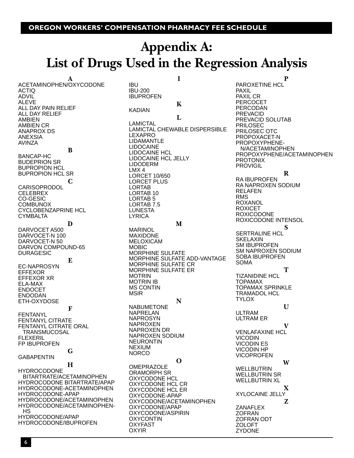IBU IBU-200 IBUPROFEN

# **Appendix A: List of Drugs Used in the Regression Analysis**

**I**

**A** ACETAMINOPHEN/OXYCODONE ACTIQ ADVIL ALEVE ALL DAY PAIN RELIEF ALL DAY RELIEF AMBIEN AMBIEN CR ANAPROX DS ANEXSIA AVINZA **B** BANCAP-HC BUDEPRION SR BUPROPION HCL BUPROPION HCL SR **C CARISOPRODOL CELEBREX** CO-GESIC **COMBUNOX** CYCLOBENZAPRINE HCL CYMBALTA **D** DARVOCET A500 DARVOCET-N 100 DARVOCET-N 50 DARVON COMPOUND-65 DURAGESIC **E** EC-NAPROSYN EFFEXOR EFFEXOR XR ELA-MAX ENDOCET ENDODAN ETH-OXYDOSE **F** FENTANYL FENTANYL CITRATE FENTANYL CITRATE ORAL TRANSMUCOSAL FLEXERIL FP IBUPROFEN **G** GABAPENTIN **H HYDROCODONE**  BITARTRATE/ACETAMINOPHEN HYDROCODONE BITARTRATE/APAP HYDROCODONE-ACETAMINOPHEN HYDROCODONE-APAP HYDROCODONE/ACETAMINOPHEN HYDROCODONE/ACETAMINOPHEN- HS HYDROCODONE/APAP HYDROCODONE/IBUPROFEN

**K** KADIAN **L** LAMICTAL LAMICTAL CHEWABLE DISPERSIBLE LEXAPRO LIDAMANTLE LIDOCAINE LIDOCAINE HCL LIDOCAINE HCL JELLY LIDODERM LMX 4 LORCET 10/650 LORCET PLUS LORTAB LORTAB 10 LORTAB 5 LORTAB 7.5 LUNESTA LYRICA **M** MARINOL MAXIDONE MELOXICAM MOBIC MORPHINE SULFATE MORPHINE SULFATE ADD-VANTAGE MORPHINE SULFATE CR MORPHINE SULFATE ER MOTRIN MOTRIN IB MS CONTIN MSIR **N** NABUMETONE NAPRELAN **NAPROSYN** NAPROXEN NAPROXEN DR NAPROXEN SODIUM NEURONTIN NEXIUM **NORCO O** OMEPRAZOLE ORAMORPH SR OXYCODONE HCL OXYCODONE HCL CR OXYCODONE HCL ER OXYCODONE-APAP OXYCODONE/ACETAMINOPHEN OXYCODONE/APAP OXYCODONE/ASPIRIN OXYCONTIN OXYFAST OXYIR

**P**

PAROXETINE HCL PAXIL PAXIL CR PERCOCET PERCODAN PREVACID PREVACID SOLUTAB PRILOSEC PRILOSEC OTC PROPOXACET-N PROPOXYPHENE- N/ACETAMINOPHEN PROPOXYPHENE/ACETAMINOPHEN PROTONIX PROVIGIL

**R**

RA IBUPROFEN RA NAPROXEN SODIUM RELAFEN RMS ROXANOL ROXICET ROXICODONE ROXICODONE INTENSOL **S** SERTRALINE HCL **SKELAXIN** SM IBUPROFEN SM NAPROXEN SODIUM SOBA IBUPROFEN SOMA **T** TIZANIDINE HCL TOPAMAX TOPAMAX SPRINKLE TRAMADOL HCL **TYLOX U** ULTRAM ULTRAM ER **V** VENLAFAXINE HCL VICODIN VICODIN ES VICODIN HP VICOPROFEN **W WELLBUTRIN** WELLBUTRIN SR WELLBUTRIN XL **X** XYLOCAINE JELLY **Z** ZANAFLEX ZOFRAN ZOFRAN ODT ZOLOFT ZYDONE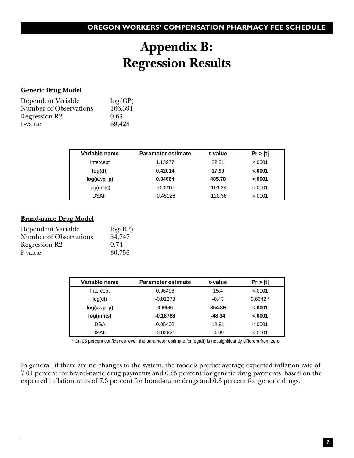# **Appendix B: Regression Results**

### **Generic Drug Model**

| Dependent Variable            | log(GP) |
|-------------------------------|---------|
| <b>Number of Observations</b> | 166,391 |
| Regression R <sub>2</sub>     | 0.63    |
| F-value                       | 69,428  |

| Variable name | <b>Parameter estimate</b> | t-value   | Pr >  t  |
|---------------|---------------------------|-----------|----------|
| Intercept     | 1.13977                   | 22.81     | < 0.0001 |
| log(df)       | 0.42014                   | 17.99     | $-.0001$ |
| $log(awp_p)$  | 0.84664                   | 485.78    | $-.0001$ |
| log(units)    | $-0.3216$                 | $-101.24$ | < 0.0001 |
| <b>DSAIF</b>  | $-0.45126$                | $-120.36$ | < .0001  |

### **Brand-name Drug Model**

| Dependent Variable            | log(BP) |
|-------------------------------|---------|
| <b>Number of Observations</b> | 54,747  |
| Regression R2                 | 0.74    |
| F-value                       | 30,756  |

| Variable name | <b>Parameter estimate</b> | t-value  | Pr >  t   |
|---------------|---------------------------|----------|-----------|
| Intercept     | 0.96496                   | 15.4     | < .0001   |
| log(df)       | $-0.01273$                | $-0.43$  | $0.6642*$ |
| $log(awp_p)$  | 0.9686                    | 354.89   | $-.0001$  |
| log(units)    | $-0.18768$                | $-48.34$ | $-.0001$  |
| <b>DGA</b>    | 0.05402                   | 12.81    | < .0001   |
| <b>DSAIF</b>  | $-0.02621$                | $-4.99$  | < .0001   |

\* On 95 percent confidence level, the parameter estimate for log(df) is not significantly different from zero.

In general, if there are no changes to the system, the models predict average expected inflation rate of 7.01 percent for brand-name drug payments and 0.25 percent for generic drug payments, based on the expected inflation rates of 7.3 percent for brand-name drugs and  $0.3$  percent for generic drugs.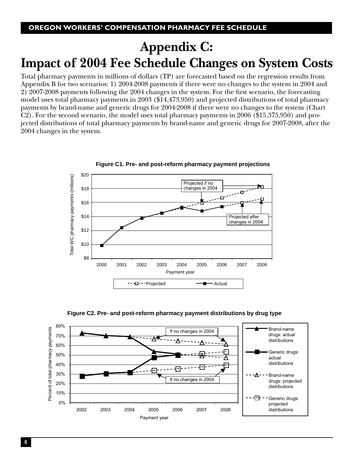# **Appendix C: Impact of 2004 Fee Schedule Changes on System Costs**

Total pharmacy payments in millions of dollars (TP) are forecasted based on the regression results from Appendix B for two scenarios: 1) 2004-2008 payments if there were no changes to the system in 2004 and 2) 2007-2008 payments following the 2004 changes in the system. For the first scenario, the forecasting model uses total pharmacy payments in 2003 (\$14,473,950) and projected distributions of total pharmacy payments by brand-name and generic drugs for 2004-2008 if there were no changes to the system (Chart C2). For the second scenario, the model uses total pharmacy payments in 2006 (\$15,375,950) and projected distributions of total pharmacy payments by brand-name and generic drugs for 2007-2008, after the 2004 changes in the system.



**Figure C1. Pre- and post-reform pharmacy payment projections**

**Figure C2. Pre- and post-reform pharmacy payment distributions by drug type**

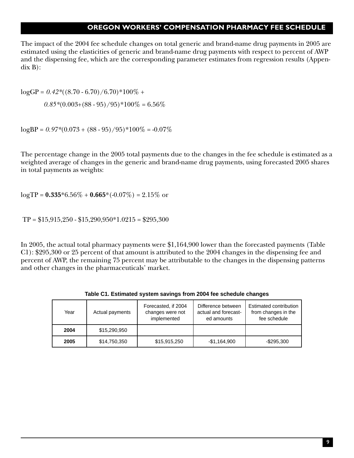The impact of the 2004 fee schedule changes on total generic and brand-name drug payments in 2005 are estimated using the elasticities of generic and brand-name drug payments with respect to percent of AWP and the dispensing fee, which are the corresponding parameter estimates from regression results (Appendix B):

 $logGP = 0.42*( (8.70 - 6.70) / 6.70)*100\% +$  $0.85*(0.003+(88-95)/95)*100\% = 6.56\%$ 

 $log BP = 0.97*(0.073 + (88 - 95)/95)*100\% = -0.07\%$ 

The percentage change in the 2005 total payments due to the changes in the fee schedule is estimated as a weighted average of changes in the generic and brand-name drug payments, using forecasted 2005 shares in total payments as weights:

 $logTP = 0.335*6.56\% + 0.665*(-0.07\%) = 2.15\%$  or

 $TP = $15,915,250 - $15,290,950 *1.0215 = $295,300$ 

In 2005, the actual total pharmacy payments were \$1,164,900 lower than the forecasted payments (Table C1): \$295,300 or 25 percent of that amount is attributed to the 2004 changes in the dispensing fee and percent of AWP, the remaining 75 percent may be attributable to the changes in the dispensing patterns and other changes in the pharmaceuticals' market.

| Year | Actual payments | Forecasted, if 2004<br>changes were not<br>implemented | Difference between<br>actual and forecast-<br>ed amounts | Estimated contribution<br>from changes in the<br>fee schedule |
|------|-----------------|--------------------------------------------------------|----------------------------------------------------------|---------------------------------------------------------------|
| 2004 | \$15,290,950    |                                                        |                                                          |                                                               |
| 2005 | \$14,750,350    | \$15,915,250                                           | $-$1,164,900$                                            | $-$ \$295.300                                                 |

**Table C1. Estimated system savings from 2004 fee schedule changes**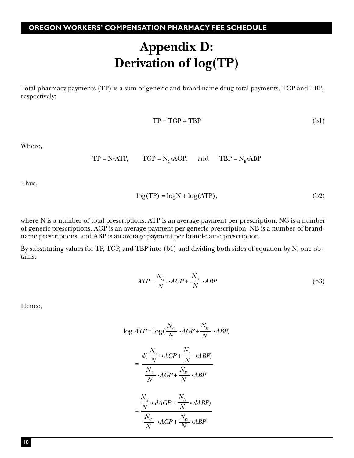# **Appendix D: Derivation of log(TP)**

Total pharmacy payments (TP) is a sum of generic and brand-name drug total payments, TGP and TBP, respectively:

$$
TP = TGP + TBP
$$
 (b1)

Where,

$$
TP = N \cdot ATP
$$
,  $TGP = N_c \cdot AGP$ , and  $TBP = N_B \cdot ABP$ 

Thus,

$$
\log(TP) = \log N + \log(\text{ATP}),\tag{b2}
$$

where N is a number of total prescriptions, ATP is an average payment per prescription, NG is a number of generic prescriptions, AGP is an average payment per generic prescription, NB is a number of brandname prescriptions, and ABP is an average payment per brand-name prescription.

By substituting values for TP, TGP, and TBP into (b1) and dividing both sides of equation by N, one obtains:

$$
ATP = \frac{N_G}{N} \cdot AGP + \frac{N_B}{N} \cdot ABP
$$
 (b3)

Hence,

$$
\log ATP = \log(\frac{N_G}{N} \cdot AGP + \frac{N_B}{N} \cdot ABP)
$$
  
= 
$$
\frac{d(\frac{N_G}{N} \cdot AGP + \frac{N_B}{N} \cdot ABP)}{\frac{N_G}{N} \cdot AGP + \frac{N_B}{N} \cdot ABP}
$$
  
= 
$$
\frac{\frac{N_G}{N} \cdot dAGP + \frac{N_B}{N} \cdot dABP}{\frac{N_G}{N} \cdot AGP + \frac{N_B}{N} \cdot ABP}
$$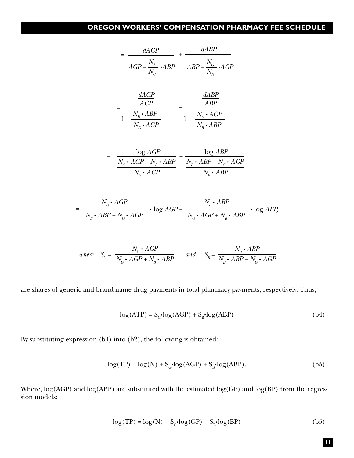$$
= \frac{dAGP}{AGP + \frac{N_B}{N_G} \cdot ABP} + \frac{dABP}{ABP + \frac{N_G}{N_B} \cdot AGP}
$$

$$
= \frac{\frac{dAGP}{AGP}}{1 + \frac{N_B \cdot ABP}{N_G \cdot AGP}} + \frac{\frac{dABP}{ABP}}{1 + \frac{N_C \cdot AGP}{N_B \cdot ABP}}
$$

$$
\log AGP \qquad \log ABP
$$

$$
= \frac{\frac{\log AGP}{N_c \cdot AGP + N_B \cdot ABP}}{N_c \cdot AGP} + \frac{\frac{\log ABP}{N_B \cdot ABP + N_c \cdot AGP}}{N_B \cdot ABP}
$$

$$
= \frac{N_c \cdot AGP}{N_B \cdot ABP + N_c \cdot AGP} \cdot \log AGP + \frac{N_B \cdot ABP}{N_c \cdot AGP + N_B \cdot ABP} \cdot \log ABP,
$$

where 
$$
S_G = \frac{N_G \cdot AGP}{N_G \cdot AGP + N_B \cdot ABP}
$$
 and  $S_B = \frac{N_B \cdot ABP}{N_B \cdot ABP + N_G \cdot AGP}$ 

are shares of generic and brand-name drug payments in total pharmacy payments, respectively. Thus,

$$
\log(\text{ATP}) = S_{\text{G}} \cdot \log(\text{AGP}) + S_{\text{B}} \cdot \log(\text{ABP}) \tag{b4}
$$

By substituting expression (b4) into (b2), the following is obtained:

$$
\log(TP) = \log(N) + S_c \cdot \log(AGP) + S_B \cdot \log(ABP),\tag{b5}
$$

Where,  $log(AGP)$  and  $log(ABP)$  are substituted with the estimated  $log(GP)$  and  $log(BP)$  from the regression models:

$$
\log(TP) = \log(N) + S_c \cdot \log(GP) + S_b \cdot \log(BP)
$$
 (b5)